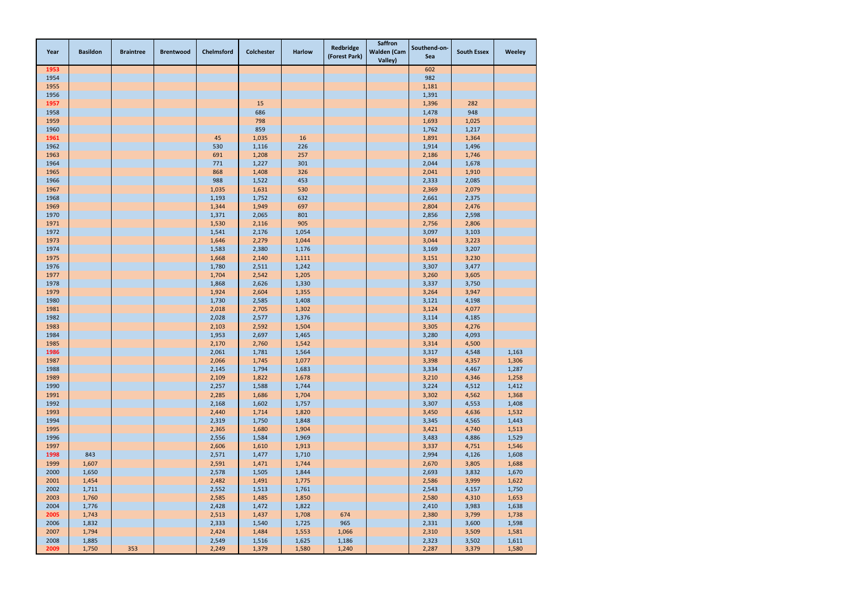| Year | <b>Basildon</b> | <b>Braintree</b> | <b>Brentwood</b> | Chelmsford | <b>Colchester</b> | <b>Harlow</b> | Redbridge<br>(Forest Park) | <b>Saffron</b><br><b>Walden (Cam</b><br>Valley) | Southend-on-<br>Sea | <b>South Essex</b> | Weeley |
|------|-----------------|------------------|------------------|------------|-------------------|---------------|----------------------------|-------------------------------------------------|---------------------|--------------------|--------|
| 1953 |                 |                  |                  |            |                   |               |                            |                                                 | 602                 |                    |        |
| 1954 |                 |                  |                  |            |                   |               |                            |                                                 | 982                 |                    |        |
| 1955 |                 |                  |                  |            |                   |               |                            |                                                 | 1,181               |                    |        |
| 1956 |                 |                  |                  |            |                   |               |                            |                                                 | 1,391               |                    |        |
| 1957 |                 |                  |                  |            | 15                |               |                            |                                                 | 1,396               | 282                |        |
| 1958 |                 |                  |                  |            | 686               |               |                            |                                                 | 1,478               | 948                |        |
| 1959 |                 |                  |                  |            | 798               |               |                            |                                                 | 1,693               | 1,025              |        |
| 1960 |                 |                  |                  |            | 859               |               |                            |                                                 | 1,762               | 1,217              |        |
| 1961 |                 |                  |                  | 45         | 1,035             | 16            |                            |                                                 | 1,891               | 1,364              |        |
| 1962 |                 |                  |                  | 530        | 1,116             | 226           |                            |                                                 | 1,914               | 1,496              |        |
| 1963 |                 |                  |                  | 691        | 1,208             | 257           |                            |                                                 | 2,186               | 1,746              |        |
| 1964 |                 |                  |                  | 771        | 1,227             | 301           |                            |                                                 | 2,044               | 1,678              |        |
| 1965 |                 |                  |                  | 868        | 1,408             | 326           |                            |                                                 | 2,041               | 1,910              |        |
| 1966 |                 |                  |                  | 988        | 1,522             | 453           |                            |                                                 | 2,333               | 2,085              |        |
| 1967 |                 |                  |                  | 1,035      | 1,631             | 530           |                            |                                                 | 2,369               | 2,079              |        |
| 1968 |                 |                  |                  | 1,193      | 1,752             | 632           |                            |                                                 | 2,661               | 2,375              |        |
| 1969 |                 |                  |                  | 1,344      | 1,949             | 697           |                            |                                                 | 2,804               | 2,476              |        |
| 1970 |                 |                  |                  | 1,371      | 2,065             | 801           |                            |                                                 | 2,856               | 2,598              |        |
| 1971 |                 |                  |                  | 1,530      | 2,116             | 905           |                            |                                                 | 2,756               | 2,806              |        |
| 1972 |                 |                  |                  | 1,541      | 2,176             | 1,054         |                            |                                                 | 3,097               | 3,103              |        |
| 1973 |                 |                  |                  | 1,646      | 2,279             | 1,044         |                            |                                                 | 3,044               | 3,223              |        |
| 1974 |                 |                  |                  | 1,583      | 2,380             | 1,176         |                            |                                                 | 3,169               | 3,207              |        |
| 1975 |                 |                  |                  | 1,668      | 2,140             | 1,111         |                            |                                                 | 3,151               | 3,230              |        |
| 1976 |                 |                  |                  | 1,780      | 2,511             | 1,242         |                            |                                                 | 3,307               | 3,477              |        |
| 1977 |                 |                  |                  | 1,704      | 2,542             | 1,205         |                            |                                                 | 3,260               | 3,605              |        |
| 1978 |                 |                  |                  | 1,868      | 2,626             | 1,330         |                            |                                                 | 3,337               | 3,750              |        |
| 1979 |                 |                  |                  | 1,924      | 2,604             | 1,355         |                            |                                                 | 3,264               | 3,947              |        |
| 1980 |                 |                  |                  | 1,730      | 2,585             | 1,408         |                            |                                                 | 3,121               | 4,198              |        |
| 1981 |                 |                  |                  | 2,018      | 2,705             | 1,302         |                            |                                                 | 3,124               | 4,077              |        |
| 1982 |                 |                  |                  | 2,028      | 2,577             | 1,376         |                            |                                                 | 3,114               | 4,185              |        |
| 1983 |                 |                  |                  | 2,103      | 2,592             | 1,504         |                            |                                                 | 3,305               | 4,276              |        |
| 1984 |                 |                  |                  | 1,953      | 2,697             | 1,465         |                            |                                                 | 3,280               | 4,093              |        |
| 1985 |                 |                  |                  | 2,170      | 2,760             | 1,542         |                            |                                                 | 3,314               | 4,500              |        |
| 1986 |                 |                  |                  | 2,061      | 1,781             | 1,564         |                            |                                                 | 3,317               | 4,548              | 1,163  |
| 1987 |                 |                  |                  | 2,066      | 1,745             | 1,077         |                            |                                                 | 3,398               | 4,357              | 1,306  |
| 1988 |                 |                  |                  | 2,145      | 1,794             | 1,683         |                            |                                                 | 3,334               | 4,467              | 1,287  |
| 1989 |                 |                  |                  | 2,109      | 1,822             | 1,678         |                            |                                                 | 3,210               | 4,346              | 1,258  |
| 1990 |                 |                  |                  | 2,257      | 1,588             | 1,744         |                            |                                                 | 3,224               | 4,512              | 1,412  |
| 1991 |                 |                  |                  | 2,285      | 1,686             | 1,704         |                            |                                                 | 3,302               | 4,562              | 1,368  |
| 1992 |                 |                  |                  | 2,168      | 1,602             | 1,757         |                            |                                                 | 3,307               | 4,553              | 1,408  |
| 1993 |                 |                  |                  | 2,440      | 1,714             | 1,820         |                            |                                                 | 3,450               | 4,636              | 1,532  |
| 1994 |                 |                  |                  | 2,319      | 1,750             | 1,848         |                            |                                                 | 3,345               | 4,565              | 1,443  |
| 1995 |                 |                  |                  | 2,365      | 1,680             | 1,904         |                            |                                                 | 3,421               | 4,740              | 1,513  |
| 1996 |                 |                  |                  | 2,556      | 1,584             | 1,969         |                            |                                                 | 3,483               | 4,886              | 1,529  |
| 1997 |                 |                  |                  | 2,606      | 1,610             | 1,913         |                            |                                                 | 3,337               | 4,751              | 1,546  |
| 1998 | 843             |                  |                  | 2,571      | 1,477             | 1,710         |                            |                                                 | 2,994               | 4,126              | 1,608  |
| 1999 | 1,607           |                  |                  | 2,591      | 1,471             | 1,744         |                            |                                                 | 2,670               | 3,805              | 1,688  |
| 2000 | 1,650           |                  |                  | 2,578      | 1,505             | 1,844         |                            |                                                 | 2,693               | 3,832              | 1,670  |
| 2001 | 1,454           |                  |                  | 2,482      | 1,491             | 1,775         |                            |                                                 | 2,586               | 3,999              | 1,622  |
| 2002 | 1,711           |                  |                  | 2,552      | 1,513             | 1,761         |                            |                                                 | 2,543               | 4,157              | 1,750  |
| 2003 | 1,760           |                  |                  | 2,585      | 1,485             | 1,850         |                            |                                                 | 2,580               | 4,310              | 1,653  |
| 2004 | 1,776           |                  |                  | 2,428      | 1,472             | 1,822         |                            |                                                 | 2,410               | 3,983              | 1,638  |
| 2005 | 1,743           |                  |                  | 2,513      | 1,437             | 1,708         | 674                        |                                                 | 2,380               | 3,799              | 1,738  |
| 2006 | 1,832           |                  |                  | 2,333      | 1,540             | 1,725         | 965                        |                                                 | 2,331               | 3,600              | 1,598  |
| 2007 | 1,794           |                  |                  | 2,424      | 1,484             | 1,553         | 1,066                      |                                                 | 2,310               | 3,509              | 1,581  |
| 2008 | 1,885           |                  |                  | 2,549      | 1,516             | 1,625         | 1,186                      |                                                 | 2,323               | 3,502              | 1,611  |
| 2009 | 1,750           | 353              |                  | 2,249      | 1,379             | 1,580         | 1,240                      |                                                 | 2,287               | 3,379              | 1,580  |
|      |                 |                  |                  |            |                   |               |                            |                                                 |                     |                    |        |